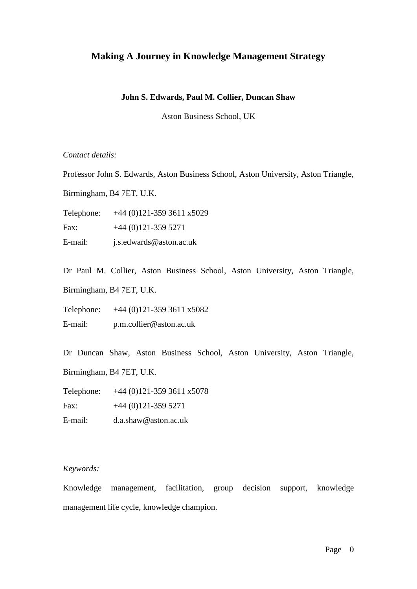# **Making A Journey in Knowledge Management Strategy**

### **John S. Edwards, Paul M. Collier, Duncan Shaw**

Aston Business School, UK

*Contact details:*

Professor John S. Edwards, Aston Business School, Aston University, Aston Triangle,

Birmingham, B4 7ET, U.K.

Telephone: +44 (0)121-359 3611 x5029

Fax:  $+44(0)121-3595271$ 

E-mail: j.s.edwards@aston.ac.uk

Dr Paul M. Collier, Aston Business School, Aston University, Aston Triangle,

Birmingham, B4 7ET, U.K.

Telephone: +44 (0)121-359 3611 x5082

E-mail: p.m.collier@aston.ac.uk

Dr Duncan Shaw, Aston Business School, Aston University, Aston Triangle,

Birmingham, B4 7ET, U.K.

Telephone: +44 (0)121-359 3611 x5078

Fax:  $+44(0)121-3595271$ 

E-mail: d.a.shaw@aston.ac.uk

### *Keywords:*

Knowledge management, facilitation, group decision support, knowledge management life cycle, knowledge champion.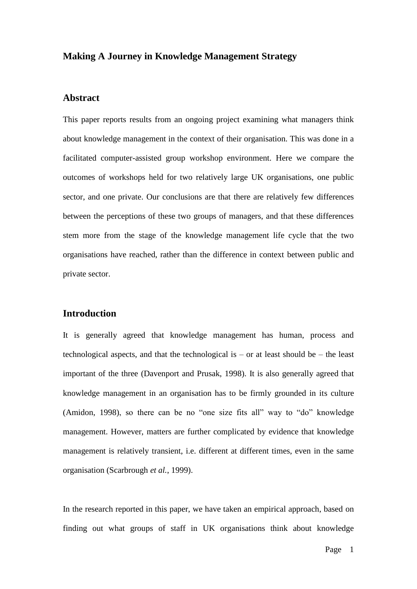### **Making A Journey in Knowledge Management Strategy**

# **Abstract**

This paper reports results from an ongoing project examining what managers think about knowledge management in the context of their organisation. This was done in a facilitated computer-assisted group workshop environment. Here we compare the outcomes of workshops held for two relatively large UK organisations, one public sector, and one private. Our conclusions are that there are relatively few differences between the perceptions of these two groups of managers, and that these differences stem more from the stage of the knowledge management life cycle that the two organisations have reached, rather than the difference in context between public and private sector.

### **Introduction**

It is generally agreed that knowledge management has human, process and technological aspects, and that the technological is – or at least should be – the least important of the three (Davenport and Prusak, 1998). It is also generally agreed that knowledge management in an organisation has to be firmly grounded in its culture (Amidon, 1998), so there can be no "one size fits all" way to "do" knowledge management. However, matters are further complicated by evidence that knowledge management is relatively transient, i.e. different at different times, even in the same organisation (Scarbrough *et al.*, 1999).

In the research reported in this paper, we have taken an empirical approach, based on finding out what groups of staff in UK organisations think about knowledge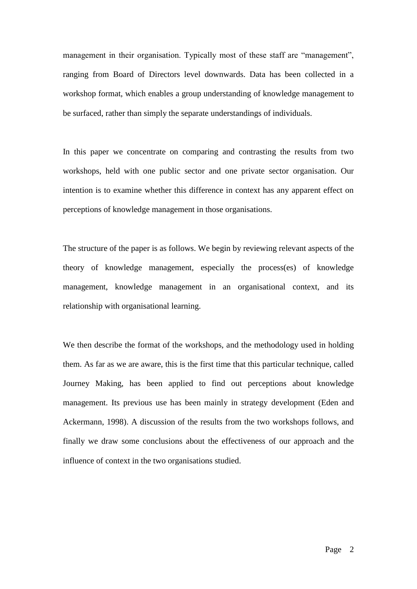management in their organisation. Typically most of these staff are "management", ranging from Board of Directors level downwards. Data has been collected in a workshop format, which enables a group understanding of knowledge management to be surfaced, rather than simply the separate understandings of individuals.

In this paper we concentrate on comparing and contrasting the results from two workshops, held with one public sector and one private sector organisation. Our intention is to examine whether this difference in context has any apparent effect on perceptions of knowledge management in those organisations.

The structure of the paper is as follows. We begin by reviewing relevant aspects of the theory of knowledge management, especially the process(es) of knowledge management, knowledge management in an organisational context, and its relationship with organisational learning.

We then describe the format of the workshops, and the methodology used in holding them. As far as we are aware, this is the first time that this particular technique, called Journey Making, has been applied to find out perceptions about knowledge management. Its previous use has been mainly in strategy development (Eden and Ackermann, 1998). A discussion of the results from the two workshops follows, and finally we draw some conclusions about the effectiveness of our approach and the influence of context in the two organisations studied.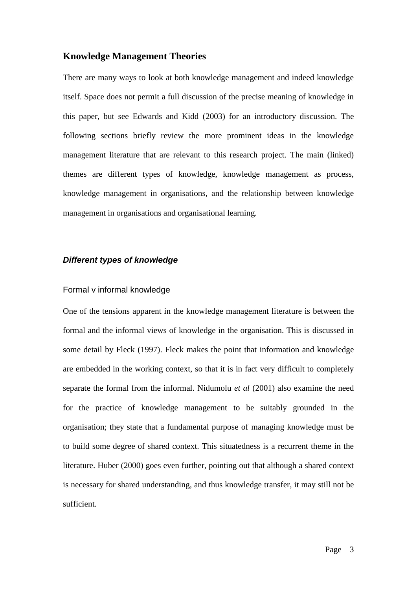### **Knowledge Management Theories**

There are many ways to look at both knowledge management and indeed knowledge itself. Space does not permit a full discussion of the precise meaning of knowledge in this paper, but see Edwards and Kidd (2003) for an introductory discussion. The following sections briefly review the more prominent ideas in the knowledge management literature that are relevant to this research project. The main (linked) themes are different types of knowledge, knowledge management as process, knowledge management in organisations, and the relationship between knowledge management in organisations and organisational learning.

## *Different types of knowledge*

### Formal v informal knowledge

One of the tensions apparent in the knowledge management literature is between the formal and the informal views of knowledge in the organisation. This is discussed in some detail by Fleck (1997). Fleck makes the point that information and knowledge are embedded in the working context, so that it is in fact very difficult to completely separate the formal from the informal. Nidumolu *et al* (2001) also examine the need for the practice of knowledge management to be suitably grounded in the organisation; they state that a fundamental purpose of managing knowledge must be to build some degree of shared context. This situatedness is a recurrent theme in the literature. Huber (2000) goes even further, pointing out that although a shared context is necessary for shared understanding, and thus knowledge transfer, it may still not be sufficient.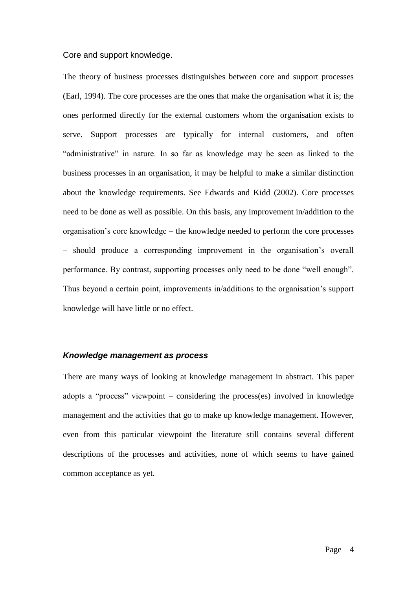#### Core and support knowledge.

The theory of business processes distinguishes between core and support processes (Earl, 1994). The core processes are the ones that make the organisation what it is; the ones performed directly for the external customers whom the organisation exists to serve. Support processes are typically for internal customers, and often "administrative" in nature. In so far as knowledge may be seen as linked to the business processes in an organisation, it may be helpful to make a similar distinction about the knowledge requirements. See Edwards and Kidd (2002). Core processes need to be done as well as possible. On this basis, any improvement in/addition to the organisation"s core knowledge – the knowledge needed to perform the core processes – should produce a corresponding improvement in the organisation"s overall performance. By contrast, supporting processes only need to be done "well enough". Thus beyond a certain point, improvements in/additions to the organisation"s support knowledge will have little or no effect.

### *Knowledge management as process*

There are many ways of looking at knowledge management in abstract. This paper adopts a "process" viewpoint – considering the process(es) involved in knowledge management and the activities that go to make up knowledge management. However, even from this particular viewpoint the literature still contains several different descriptions of the processes and activities, none of which seems to have gained common acceptance as yet.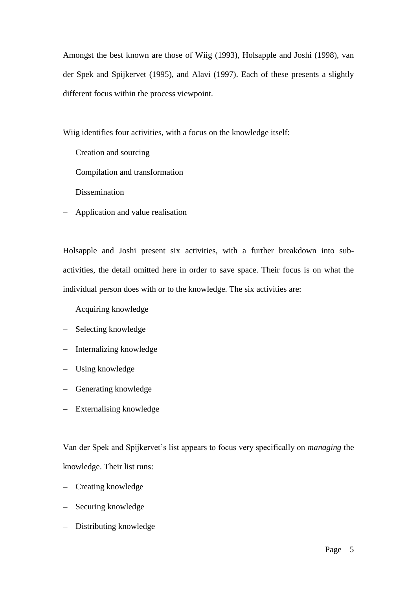Amongst the best known are those of Wiig (1993), Holsapple and Joshi (1998), van der Spek and Spijkervet (1995), and Alavi (1997). Each of these presents a slightly different focus within the process viewpoint.

Wiig identifies four activities, with a focus on the knowledge itself:

- Creation and sourcing
- Compilation and transformation
- Dissemination
- Application and value realisation

Holsapple and Joshi present six activities, with a further breakdown into subactivities, the detail omitted here in order to save space. Their focus is on what the individual person does with or to the knowledge. The six activities are:

- Acquiring knowledge
- Selecting knowledge
- Internalizing knowledge
- Using knowledge
- Generating knowledge
- Externalising knowledge

Van der Spek and Spijkervet"s list appears to focus very specifically on *managing* the knowledge. Their list runs:

- Creating knowledge
- Securing knowledge
- Distributing knowledge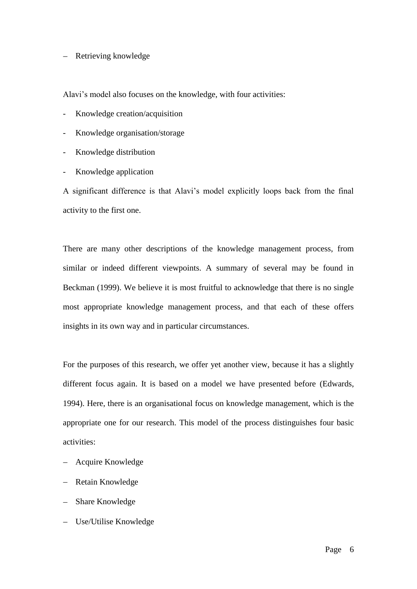### - Retrieving knowledge

Alavi"s model also focuses on the knowledge, with four activities:

- Knowledge creation/acquisition
- Knowledge organisation/storage
- Knowledge distribution
- Knowledge application

A significant difference is that Alavi"s model explicitly loops back from the final activity to the first one.

There are many other descriptions of the knowledge management process, from similar or indeed different viewpoints. A summary of several may be found in Beckman (1999). We believe it is most fruitful to acknowledge that there is no single most appropriate knowledge management process, and that each of these offers insights in its own way and in particular circumstances.

For the purposes of this research, we offer yet another view, because it has a slightly different focus again. It is based on a model we have presented before (Edwards, 1994). Here, there is an organisational focus on knowledge management, which is the appropriate one for our research. This model of the process distinguishes four basic activities:

- Acquire Knowledge
- Retain Knowledge
- Share Knowledge
- Use/Utilise Knowledge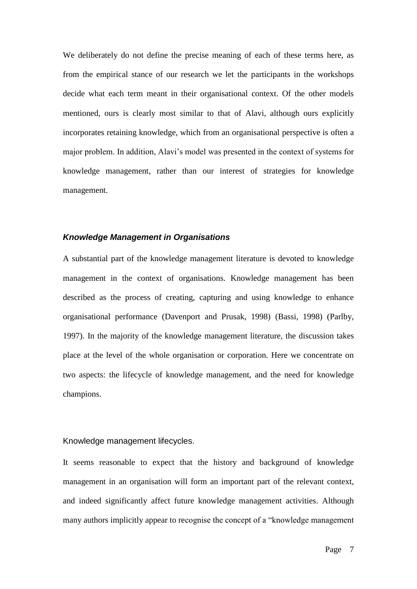We deliberately do not define the precise meaning of each of these terms here, as from the empirical stance of our research we let the participants in the workshops decide what each term meant in their organisational context. Of the other models mentioned, ours is clearly most similar to that of Alavi, although ours explicitly incorporates retaining knowledge, which from an organisational perspective is often a major problem. In addition, Alavi"s model was presented in the context of systems for knowledge management, rather than our interest of strategies for knowledge management.

#### *Knowledge Management in Organisations*

A substantial part of the knowledge management literature is devoted to knowledge management in the context of organisations. Knowledge management has been described as the process of creating, capturing and using knowledge to enhance organisational performance (Davenport and Prusak, 1998) (Bassi, 1998) (Parlby, 1997). In the majority of the knowledge management literature, the discussion takes place at the level of the whole organisation or corporation. Here we concentrate on two aspects: the lifecycle of knowledge management, and the need for knowledge champions.

### Knowledge management lifecycles.

It seems reasonable to expect that the history and background of knowledge management in an organisation will form an important part of the relevant context, and indeed significantly affect future knowledge management activities. Although many authors implicitly appear to recognise the concept of a "knowledge management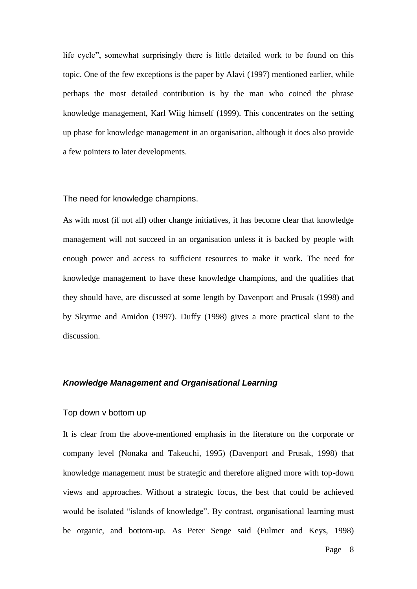life cycle", somewhat surprisingly there is little detailed work to be found on this topic. One of the few exceptions is the paper by Alavi (1997) mentioned earlier, while perhaps the most detailed contribution is by the man who coined the phrase knowledge management, Karl Wiig himself (1999). This concentrates on the setting up phase for knowledge management in an organisation, although it does also provide a few pointers to later developments.

#### The need for knowledge champions.

As with most (if not all) other change initiatives, it has become clear that knowledge management will not succeed in an organisation unless it is backed by people with enough power and access to sufficient resources to make it work. The need for knowledge management to have these knowledge champions, and the qualities that they should have, are discussed at some length by Davenport and Prusak (1998) and by Skyrme and Amidon (1997). Duffy (1998) gives a more practical slant to the discussion.

#### *Knowledge Management and Organisational Learning*

#### Top down v bottom up

It is clear from the above-mentioned emphasis in the literature on the corporate or company level (Nonaka and Takeuchi, 1995) (Davenport and Prusak, 1998) that knowledge management must be strategic and therefore aligned more with top-down views and approaches. Without a strategic focus, the best that could be achieved would be isolated "islands of knowledge". By contrast, organisational learning must be organic, and bottom-up. As Peter Senge said (Fulmer and Keys, 1998)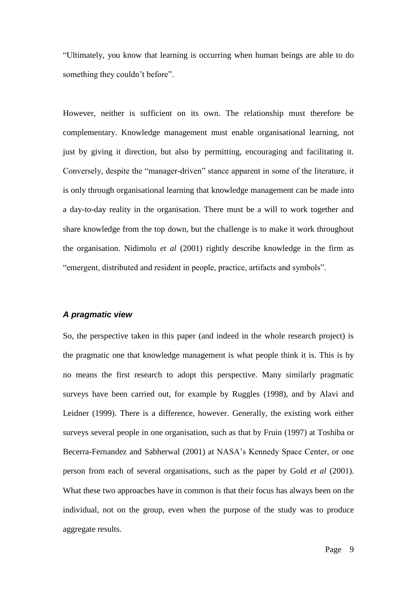"Ultimately, you know that learning is occurring when human beings are able to do something they couldn"t before".

However, neither is sufficient on its own. The relationship must therefore be complementary. Knowledge management must enable organisational learning, not just by giving it direction, but also by permitting, encouraging and facilitating it. Conversely, despite the "manager-driven" stance apparent in some of the literature, it is only through organisational learning that knowledge management can be made into a day-to-day reality in the organisation. There must be a will to work together and share knowledge from the top down, but the challenge is to make it work throughout the organisation. Nidimolu *et al* (2001) rightly describe knowledge in the firm as "emergent, distributed and resident in people, practice, artifacts and symbols".

### *A pragmatic view*

So, the perspective taken in this paper (and indeed in the whole research project) is the pragmatic one that knowledge management is what people think it is. This is by no means the first research to adopt this perspective. Many similarly pragmatic surveys have been carried out, for example by Ruggles (1998), and by Alavi and Leidner (1999). There is a difference, however. Generally, the existing work either surveys several people in one organisation, such as that by Fruin (1997) at Toshiba or Becerra-Fernandez and Sabherwal (2001) at NASA"s Kennedy Space Center, or one person from each of several organisations, such as the paper by Gold *et al* (2001). What these two approaches have in common is that their focus has always been on the individual, not on the group, even when the purpose of the study was to produce aggregate results.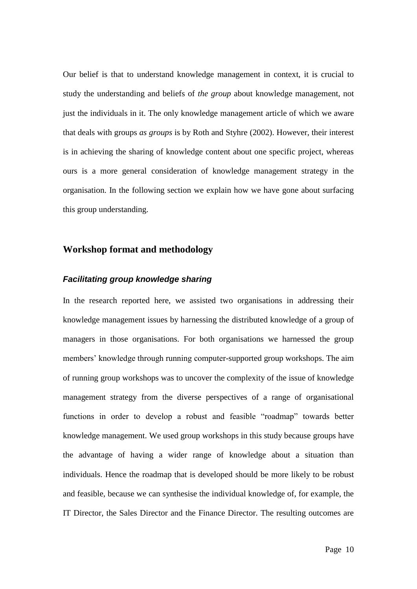Our belief is that to understand knowledge management in context, it is crucial to study the understanding and beliefs of *the group* about knowledge management, not just the individuals in it. The only knowledge management article of which we aware that deals with groups *as groups* is by Roth and Styhre (2002). However, their interest is in achieving the sharing of knowledge content about one specific project, whereas ours is a more general consideration of knowledge management strategy in the organisation. In the following section we explain how we have gone about surfacing this group understanding.

# **Workshop format and methodology**

### *Facilitating group knowledge sharing*

In the research reported here, we assisted two organisations in addressing their knowledge management issues by harnessing the distributed knowledge of a group of managers in those organisations. For both organisations we harnessed the group members' knowledge through running computer-supported group workshops. The aim of running group workshops was to uncover the complexity of the issue of knowledge management strategy from the diverse perspectives of a range of organisational functions in order to develop a robust and feasible "roadmap" towards better knowledge management. We used group workshops in this study because groups have the advantage of having a wider range of knowledge about a situation than individuals. Hence the roadmap that is developed should be more likely to be robust and feasible, because we can synthesise the individual knowledge of, for example, the IT Director, the Sales Director and the Finance Director. The resulting outcomes are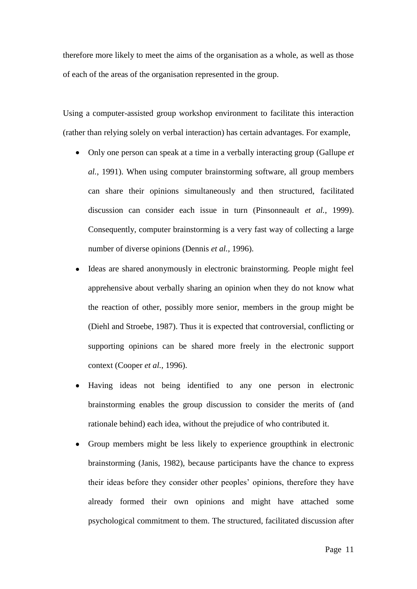therefore more likely to meet the aims of the organisation as a whole, as well as those of each of the areas of the organisation represented in the group.

Using a computer-assisted group workshop environment to facilitate this interaction (rather than relying solely on verbal interaction) has certain advantages. For example,

- Only one person can speak at a time in a verbally interacting group (Gallupe *et al.*, 1991). When using computer brainstorming software, all group members can share their opinions simultaneously and then structured, facilitated discussion can consider each issue in turn (Pinsonneault *et al.*, 1999). Consequently, computer brainstorming is a very fast way of collecting a large number of diverse opinions (Dennis *et al.*, 1996).
- Ideas are shared anonymously in electronic brainstorming. People might feel apprehensive about verbally sharing an opinion when they do not know what the reaction of other, possibly more senior, members in the group might be (Diehl and Stroebe, 1987). Thus it is expected that controversial, conflicting or supporting opinions can be shared more freely in the electronic support context (Cooper *et al.*, 1996).
- Having ideas not being identified to any one person in electronic brainstorming enables the group discussion to consider the merits of (and rationale behind) each idea, without the prejudice of who contributed it.
- Group members might be less likely to experience groupthink in electronic brainstorming (Janis, 1982), because participants have the chance to express their ideas before they consider other peoples" opinions, therefore they have already formed their own opinions and might have attached some psychological commitment to them. The structured, facilitated discussion after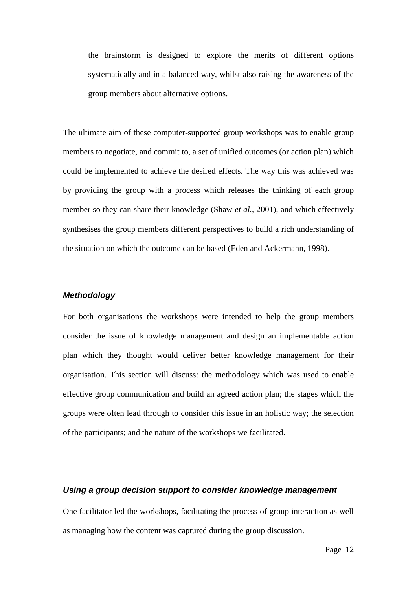the brainstorm is designed to explore the merits of different options systematically and in a balanced way, whilst also raising the awareness of the group members about alternative options.

The ultimate aim of these computer-supported group workshops was to enable group members to negotiate, and commit to, a set of unified outcomes (or action plan) which could be implemented to achieve the desired effects. The way this was achieved was by providing the group with a process which releases the thinking of each group member so they can share their knowledge (Shaw *et al.*, 2001), and which effectively synthesises the group members different perspectives to build a rich understanding of the situation on which the outcome can be based (Eden and Ackermann, 1998).

### *Methodology*

For both organisations the workshops were intended to help the group members consider the issue of knowledge management and design an implementable action plan which they thought would deliver better knowledge management for their organisation. This section will discuss: the methodology which was used to enable effective group communication and build an agreed action plan; the stages which the groups were often lead through to consider this issue in an holistic way; the selection of the participants; and the nature of the workshops we facilitated.

### *Using a group decision support to consider knowledge management*

One facilitator led the workshops, facilitating the process of group interaction as well as managing how the content was captured during the group discussion.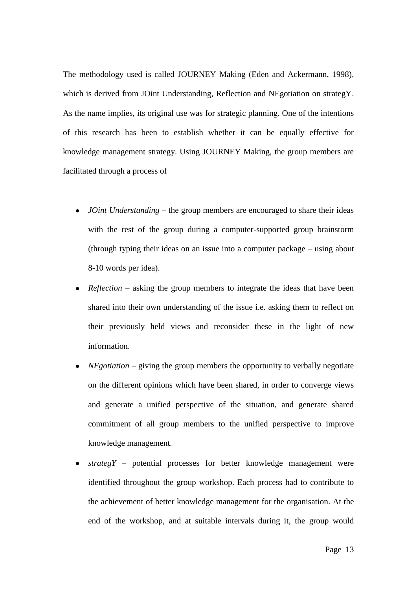The methodology used is called JOURNEY Making (Eden and Ackermann, 1998), which is derived from JOint Understanding, Reflection and NEgotiation on strategY. As the name implies, its original use was for strategic planning. One of the intentions of this research has been to establish whether it can be equally effective for knowledge management strategy. Using JOURNEY Making, the group members are facilitated through a process of

- *JOint Understanding*  the group members are encouraged to share their ideas with the rest of the group during a computer-supported group brainstorm (through typing their ideas on an issue into a computer package – using about 8-10 words per idea).
- *Reflection*  asking the group members to integrate the ideas that have been shared into their own understanding of the issue i.e. asking them to reflect on their previously held views and reconsider these in the light of new information.
- *NEgotiation* giving the group members the opportunity to verbally negotiate on the different opinions which have been shared, in order to converge views and generate a unified perspective of the situation, and generate shared commitment of all group members to the unified perspective to improve knowledge management.
- *strategY* potential processes for better knowledge management were identified throughout the group workshop. Each process had to contribute to the achievement of better knowledge management for the organisation. At the end of the workshop, and at suitable intervals during it, the group would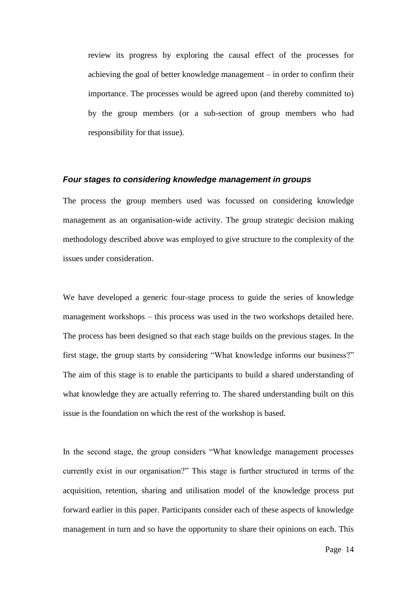review its progress by exploring the causal effect of the processes for achieving the goal of better knowledge management – in order to confirm their importance. The processes would be agreed upon (and thereby committed to) by the group members (or a sub-section of group members who had responsibility for that issue).

### *Four stages to considering knowledge management in groups*

The process the group members used was focussed on considering knowledge management as an organisation-wide activity. The group strategic decision making methodology described above was employed to give structure to the complexity of the issues under consideration.

We have developed a generic four-stage process to guide the series of knowledge management workshops – this process was used in the two workshops detailed here. The process has been designed so that each stage builds on the previous stages. In the first stage, the group starts by considering "What knowledge informs our business?" The aim of this stage is to enable the participants to build a shared understanding of what knowledge they are actually referring to. The shared understanding built on this issue is the foundation on which the rest of the workshop is based.

In the second stage, the group considers "What knowledge management processes currently exist in our organisation?" This stage is further structured in terms of the acquisition, retention, sharing and utilisation model of the knowledge process put forward earlier in this paper. Participants consider each of these aspects of knowledge management in turn and so have the opportunity to share their opinions on each. This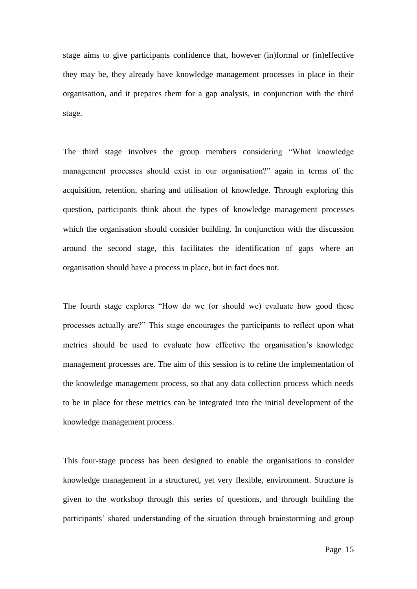stage aims to give participants confidence that, however (in)formal or (in)effective they may be, they already have knowledge management processes in place in their organisation, and it prepares them for a gap analysis, in conjunction with the third stage.

The third stage involves the group members considering "What knowledge management processes should exist in our organisation?" again in terms of the acquisition, retention, sharing and utilisation of knowledge. Through exploring this question, participants think about the types of knowledge management processes which the organisation should consider building. In conjunction with the discussion around the second stage, this facilitates the identification of gaps where an organisation should have a process in place, but in fact does not.

The fourth stage explores "How do we (or should we) evaluate how good these processes actually are?" This stage encourages the participants to reflect upon what metrics should be used to evaluate how effective the organisation's knowledge management processes are. The aim of this session is to refine the implementation of the knowledge management process, so that any data collection process which needs to be in place for these metrics can be integrated into the initial development of the knowledge management process.

This four-stage process has been designed to enable the organisations to consider knowledge management in a structured, yet very flexible, environment. Structure is given to the workshop through this series of questions, and through building the participants" shared understanding of the situation through brainstorming and group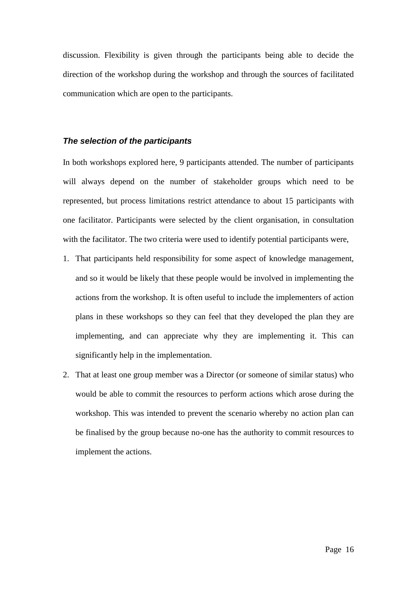discussion. Flexibility is given through the participants being able to decide the direction of the workshop during the workshop and through the sources of facilitated communication which are open to the participants.

#### *The selection of the participants*

In both workshops explored here, 9 participants attended. The number of participants will always depend on the number of stakeholder groups which need to be represented, but process limitations restrict attendance to about 15 participants with one facilitator. Participants were selected by the client organisation, in consultation with the facilitator. The two criteria were used to identify potential participants were,

- 1. That participants held responsibility for some aspect of knowledge management, and so it would be likely that these people would be involved in implementing the actions from the workshop. It is often useful to include the implementers of action plans in these workshops so they can feel that they developed the plan they are implementing, and can appreciate why they are implementing it. This can significantly help in the implementation.
- 2. That at least one group member was a Director (or someone of similar status) who would be able to commit the resources to perform actions which arose during the workshop. This was intended to prevent the scenario whereby no action plan can be finalised by the group because no-one has the authority to commit resources to implement the actions.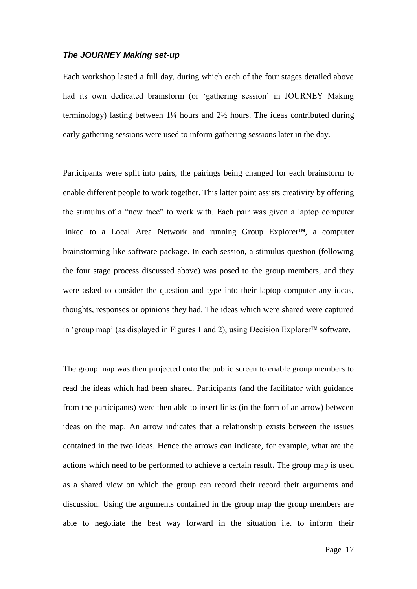### *The JOURNEY Making set-up*

Each workshop lasted a full day, during which each of the four stages detailed above had its own dedicated brainstorm (or "gathering session" in JOURNEY Making terminology) lasting between 1¼ hours and 2½ hours. The ideas contributed during early gathering sessions were used to inform gathering sessions later in the day.

Participants were split into pairs, the pairings being changed for each brainstorm to enable different people to work together. This latter point assists creativity by offering the stimulus of a "new face" to work with. Each pair was given a laptop computer linked to a Local Area Network and running Group Explorer<sup>™</sup>, a computer brainstorming-like software package. In each session, a stimulus question (following the four stage process discussed above) was posed to the group members, and they were asked to consider the question and type into their laptop computer any ideas, thoughts, responses or opinions they had. The ideas which were shared were captured in 'group map' (as displayed in Figures 1 and 2), using Decision Explorer™ software.

The group map was then projected onto the public screen to enable group members to read the ideas which had been shared. Participants (and the facilitator with guidance from the participants) were then able to insert links (in the form of an arrow) between ideas on the map. An arrow indicates that a relationship exists between the issues contained in the two ideas. Hence the arrows can indicate, for example, what are the actions which need to be performed to achieve a certain result. The group map is used as a shared view on which the group can record their record their arguments and discussion. Using the arguments contained in the group map the group members are able to negotiate the best way forward in the situation i.e. to inform their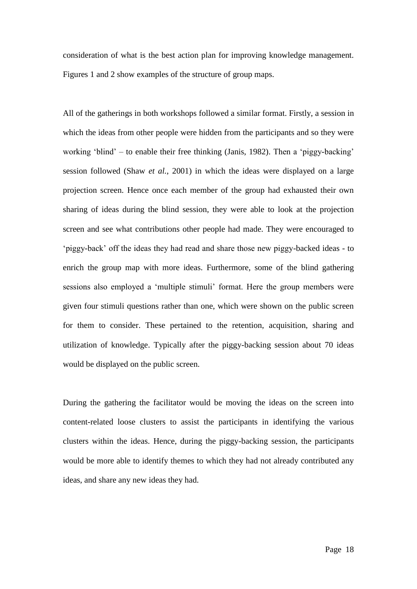consideration of what is the best action plan for improving knowledge management. Figures 1 and 2 show examples of the structure of group maps.

All of the gatherings in both workshops followed a similar format. Firstly, a session in which the ideas from other people were hidden from the participants and so they were working 'blind' – to enable their free thinking (Janis, 1982). Then a 'piggy-backing' session followed (Shaw *et al.*, 2001) in which the ideas were displayed on a large projection screen. Hence once each member of the group had exhausted their own sharing of ideas during the blind session, they were able to look at the projection screen and see what contributions other people had made. They were encouraged to 'piggy-back' off the ideas they had read and share those new piggy-backed ideas - to enrich the group map with more ideas. Furthermore, some of the blind gathering sessions also employed a 'multiple stimuli' format. Here the group members were given four stimuli questions rather than one, which were shown on the public screen for them to consider. These pertained to the retention, acquisition, sharing and utilization of knowledge. Typically after the piggy-backing session about 70 ideas would be displayed on the public screen.

During the gathering the facilitator would be moving the ideas on the screen into content-related loose clusters to assist the participants in identifying the various clusters within the ideas. Hence, during the piggy-backing session, the participants would be more able to identify themes to which they had not already contributed any ideas, and share any new ideas they had.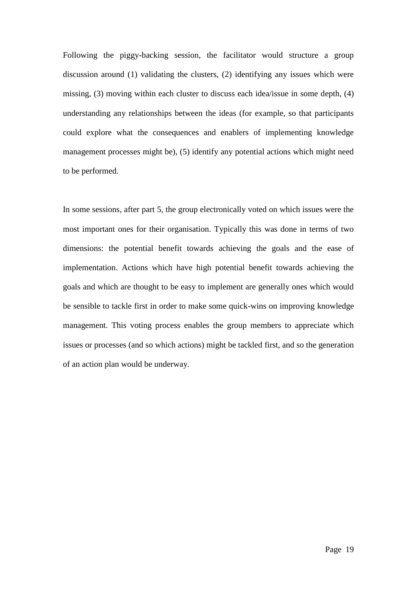Following the piggy-backing session, the facilitator would structure a group discussion around (1) validating the clusters, (2) identifying any issues which were missing, (3) moving within each cluster to discuss each idea/issue in some depth, (4) understanding any relationships between the ideas (for example, so that participants could explore what the consequences and enablers of implementing knowledge management processes might be), (5) identify any potential actions which might need to be performed.

In some sessions, after part 5, the group electronically voted on which issues were the most important ones for their organisation. Typically this was done in terms of two dimensions: the potential benefit towards achieving the goals and the ease of implementation. Actions which have high potential benefit towards achieving the goals and which are thought to be easy to implement are generally ones which would be sensible to tackle first in order to make some quick-wins on improving knowledge management. This voting process enables the group members to appreciate which issues or processes (and so which actions) might be tackled first, and so the generation of an action plan would be underway.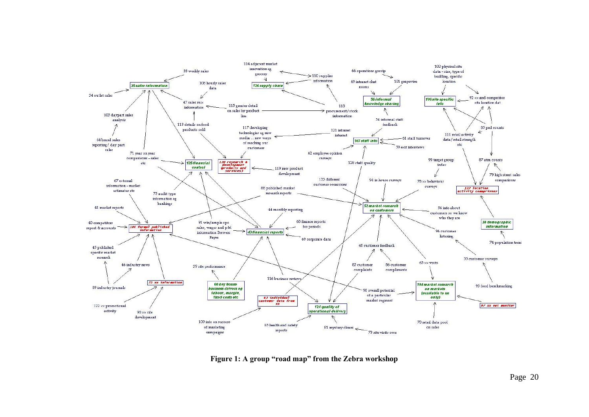

**Figure 1: A group "road map" from the Zebra workshop**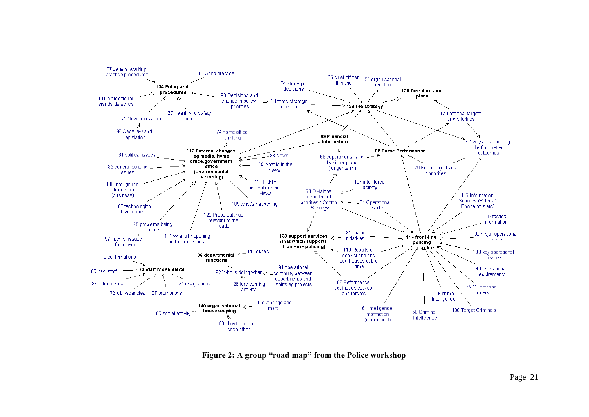

**Figure 2: A group "road map" from the Police workshop**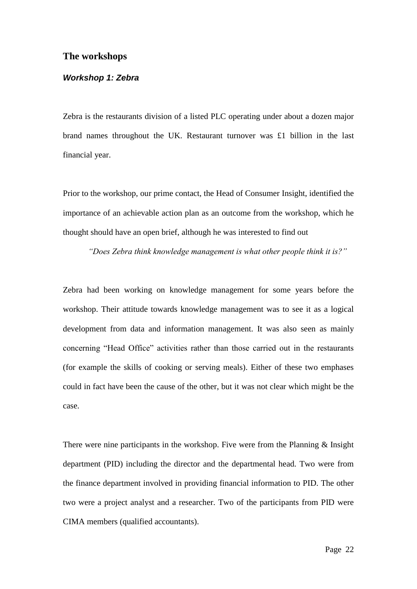### **The workshops**

### *Workshop 1: Zebra*

Zebra is the restaurants division of a listed PLC operating under about a dozen major brand names throughout the UK. Restaurant turnover was  $£1$  billion in the last financial year.

Prior to the workshop, our prime contact, the Head of Consumer Insight, identified the importance of an achievable action plan as an outcome from the workshop, which he thought should have an open brief, although he was interested to find out

*"Does Zebra think knowledge management is what other people think it is?"*

Zebra had been working on knowledge management for some years before the workshop. Their attitude towards knowledge management was to see it as a logical development from data and information management. It was also seen as mainly concerning "Head Office" activities rather than those carried out in the restaurants (for example the skills of cooking or serving meals). Either of these two emphases could in fact have been the cause of the other, but it was not clear which might be the case.

There were nine participants in the workshop. Five were from the Planning & Insight department (PID) including the director and the departmental head. Two were from the finance department involved in providing financial information to PID. The other two were a project analyst and a researcher. Two of the participants from PID were CIMA members (qualified accountants).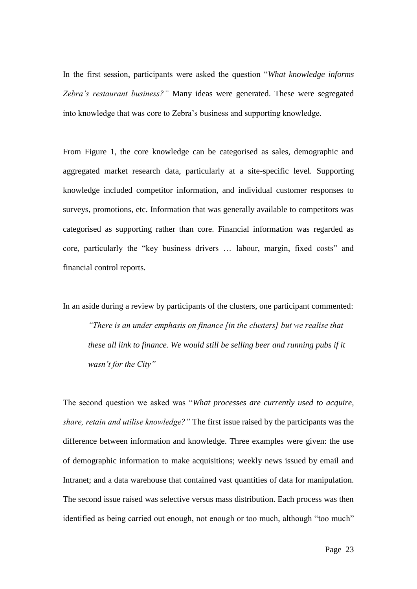In the first session, participants were asked the question "*What knowledge informs Zebra's restaurant business?"* Many ideas were generated. These were segregated into knowledge that was core to Zebra"s business and supporting knowledge.

From Figure 1, the core knowledge can be categorised as sales, demographic and aggregated market research data, particularly at a site-specific level. Supporting knowledge included competitor information, and individual customer responses to surveys, promotions, etc. Information that was generally available to competitors was categorised as supporting rather than core. Financial information was regarded as core, particularly the "key business drivers … labour, margin, fixed costs" and financial control reports.

In an aside during a review by participants of the clusters, one participant commented:

*"There is an under emphasis on finance [in the clusters] but we realise that these all link to finance. We would still be selling beer and running pubs if it wasn't for the City"*

The second question we asked was "*What processes are currently used to acquire, share, retain and utilise knowledge?"* The first issue raised by the participants was the difference between information and knowledge. Three examples were given: the use of demographic information to make acquisitions; weekly news issued by email and Intranet; and a data warehouse that contained vast quantities of data for manipulation. The second issue raised was selective versus mass distribution. Each process was then identified as being carried out enough, not enough or too much, although "too much"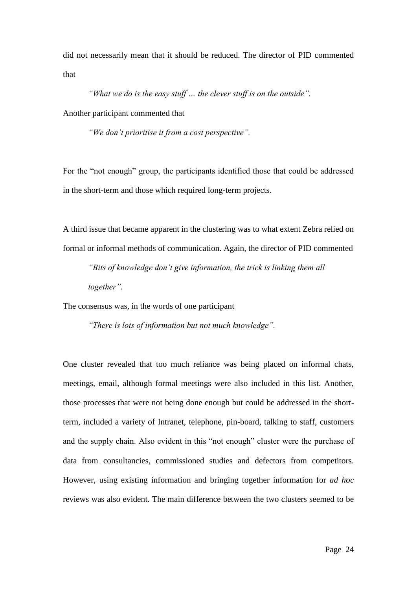did not necessarily mean that it should be reduced. The director of PID commented that

*"What we do is the easy stuff … the clever stuff is on the outside".*

Another participant commented that

*"We don't prioritise it from a cost perspective".*

For the "not enough" group, the participants identified those that could be addressed in the short-term and those which required long-term projects.

A third issue that became apparent in the clustering was to what extent Zebra relied on formal or informal methods of communication. Again, the director of PID commented

*"Bits of knowledge don't give information, the trick is linking them all together".*

The consensus was, in the words of one participant

*"There is lots of information but not much knowledge".*

One cluster revealed that too much reliance was being placed on informal chats, meetings, email, although formal meetings were also included in this list. Another, those processes that were not being done enough but could be addressed in the shortterm, included a variety of Intranet, telephone, pin-board, talking to staff, customers and the supply chain. Also evident in this "not enough" cluster were the purchase of data from consultancies, commissioned studies and defectors from competitors. However, using existing information and bringing together information for *ad hoc* reviews was also evident. The main difference between the two clusters seemed to be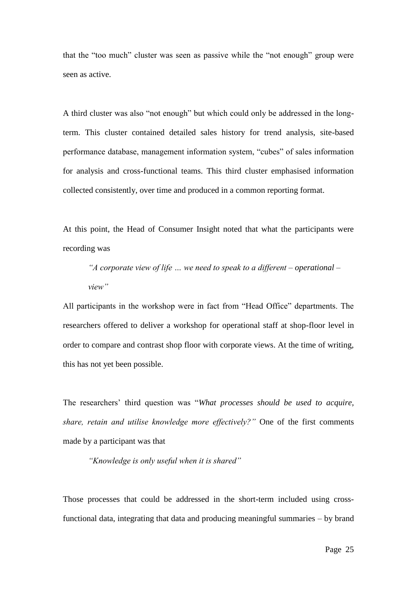that the "too much" cluster was seen as passive while the "not enough" group were seen as active.

A third cluster was also "not enough" but which could only be addressed in the longterm. This cluster contained detailed sales history for trend analysis, site-based performance database, management information system, "cubes" of sales information for analysis and cross-functional teams. This third cluster emphasised information collected consistently, over time and produced in a common reporting format.

At this point, the Head of Consumer Insight noted that what the participants were recording was

*"A corporate view of life … we need to speak to a different – operational – view"*

All participants in the workshop were in fact from "Head Office" departments. The researchers offered to deliver a workshop for operational staff at shop-floor level in order to compare and contrast shop floor with corporate views. At the time of writing, this has not yet been possible.

The researchers" third question was "*What processes should be used to acquire, share, retain and utilise knowledge more effectively?"* One of the first comments made by a participant was that

*"Knowledge is only useful when it is shared"*

Those processes that could be addressed in the short-term included using crossfunctional data, integrating that data and producing meaningful summaries – by brand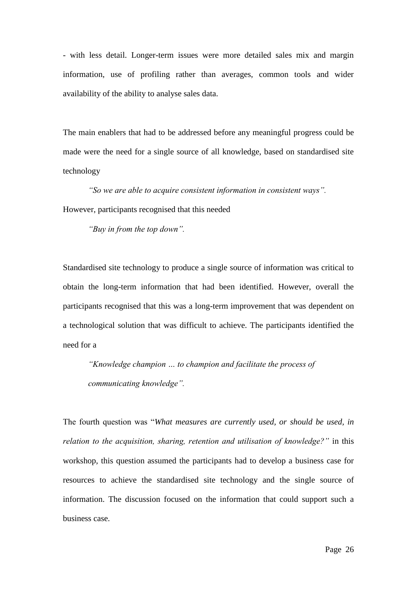- with less detail. Longer-term issues were more detailed sales mix and margin information, use of profiling rather than averages, common tools and wider availability of the ability to analyse sales data.

The main enablers that had to be addressed before any meaningful progress could be made were the need for a single source of all knowledge, based on standardised site technology

*"So we are able to acquire consistent information in consistent ways".*  However, participants recognised that this needed

*"Buy in from the top down".* 

Standardised site technology to produce a single source of information was critical to obtain the long-term information that had been identified. However, overall the participants recognised that this was a long-term improvement that was dependent on a technological solution that was difficult to achieve. The participants identified the need for a

*"Knowledge champion … to champion and facilitate the process of communicating knowledge".*

The fourth question was "*What measures are currently used, or should be used, in relation to the acquisition, sharing, retention and utilisation of knowledge?"* in this workshop, this question assumed the participants had to develop a business case for resources to achieve the standardised site technology and the single source of information. The discussion focused on the information that could support such a business case.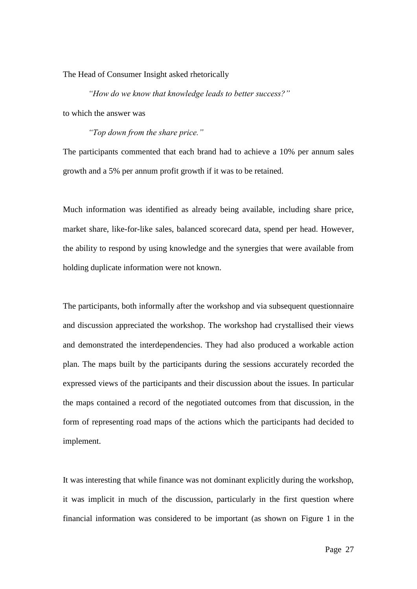The Head of Consumer Insight asked rhetorically

*"How do we know that knowledge leads to better success?"*

to which the answer was

*"Top down from the share price."*

The participants commented that each brand had to achieve a 10% per annum sales growth and a 5% per annum profit growth if it was to be retained.

Much information was identified as already being available, including share price, market share, like-for-like sales, balanced scorecard data, spend per head. However, the ability to respond by using knowledge and the synergies that were available from holding duplicate information were not known.

The participants, both informally after the workshop and via subsequent questionnaire and discussion appreciated the workshop. The workshop had crystallised their views and demonstrated the interdependencies. They had also produced a workable action plan. The maps built by the participants during the sessions accurately recorded the expressed views of the participants and their discussion about the issues. In particular the maps contained a record of the negotiated outcomes from that discussion, in the form of representing road maps of the actions which the participants had decided to implement.

It was interesting that while finance was not dominant explicitly during the workshop, it was implicit in much of the discussion, particularly in the first question where financial information was considered to be important (as shown on Figure 1 in the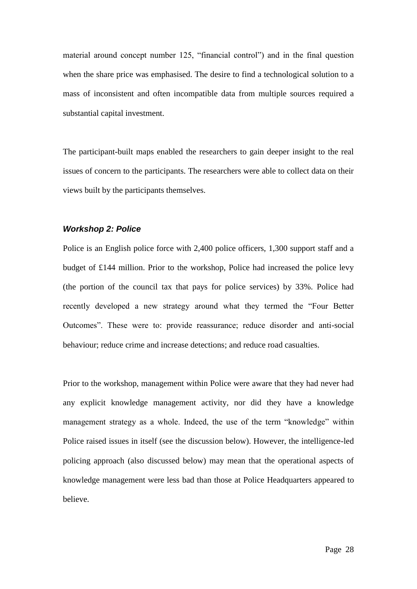material around concept number 125, "financial control") and in the final question when the share price was emphasised. The desire to find a technological solution to a mass of inconsistent and often incompatible data from multiple sources required a substantial capital investment.

The participant-built maps enabled the researchers to gain deeper insight to the real issues of concern to the participants. The researchers were able to collect data on their views built by the participants themselves.

#### *Workshop 2: Police*

Police is an English police force with 2,400 police officers, 1,300 support staff and a budget of £144 million. Prior to the workshop, Police had increased the police levy (the portion of the council tax that pays for police services) by 33%. Police had recently developed a new strategy around what they termed the "Four Better Outcomes". These were to: provide reassurance; reduce disorder and anti-social behaviour; reduce crime and increase detections; and reduce road casualties.

Prior to the workshop, management within Police were aware that they had never had any explicit knowledge management activity, nor did they have a knowledge management strategy as a whole. Indeed, the use of the term "knowledge" within Police raised issues in itself (see the discussion below). However, the intelligence-led policing approach (also discussed below) may mean that the operational aspects of knowledge management were less bad than those at Police Headquarters appeared to believe.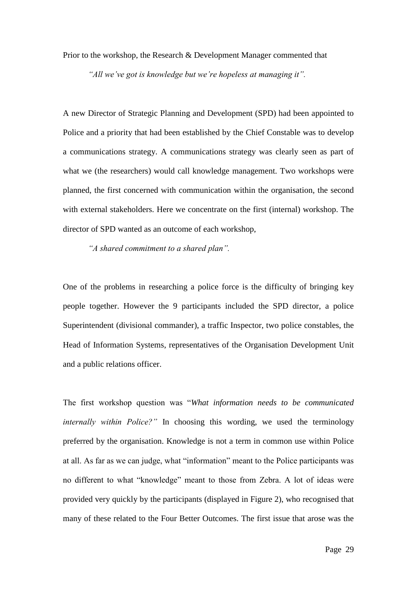Prior to the workshop, the Research & Development Manager commented that

*"All we've got is knowledge but we're hopeless at managing it".*

A new Director of Strategic Planning and Development (SPD) had been appointed to Police and a priority that had been established by the Chief Constable was to develop a communications strategy. A communications strategy was clearly seen as part of what we (the researchers) would call knowledge management. Two workshops were planned, the first concerned with communication within the organisation, the second with external stakeholders. Here we concentrate on the first (internal) workshop. The director of SPD wanted as an outcome of each workshop,

*"A shared commitment to a shared plan".*

One of the problems in researching a police force is the difficulty of bringing key people together. However the 9 participants included the SPD director, a police Superintendent (divisional commander), a traffic Inspector, two police constables, the Head of Information Systems, representatives of the Organisation Development Unit and a public relations officer.

The first workshop question was "*What information needs to be communicated internally within Police?"* In choosing this wording, we used the terminology preferred by the organisation. Knowledge is not a term in common use within Police at all. As far as we can judge, what "information" meant to the Police participants was no different to what "knowledge" meant to those from Zebra. A lot of ideas were provided very quickly by the participants (displayed in Figure 2), who recognised that many of these related to the Four Better Outcomes. The first issue that arose was the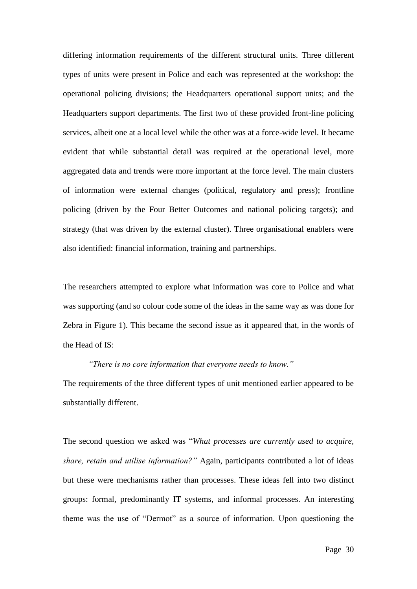differing information requirements of the different structural units. Three different types of units were present in Police and each was represented at the workshop: the operational policing divisions; the Headquarters operational support units; and the Headquarters support departments. The first two of these provided front-line policing services, albeit one at a local level while the other was at a force-wide level. It became evident that while substantial detail was required at the operational level, more aggregated data and trends were more important at the force level. The main clusters of information were external changes (political, regulatory and press); frontline policing (driven by the Four Better Outcomes and national policing targets); and strategy (that was driven by the external cluster). Three organisational enablers were also identified: financial information, training and partnerships.

The researchers attempted to explore what information was core to Police and what was supporting (and so colour code some of the ideas in the same way as was done for Zebra in Figure 1). This became the second issue as it appeared that, in the words of the Head of IS:

*"There is no core information that everyone needs to know."* The requirements of the three different types of unit mentioned earlier appeared to be substantially different.

The second question we asked was "*What processes are currently used to acquire, share, retain and utilise information?"* Again, participants contributed a lot of ideas but these were mechanisms rather than processes. These ideas fell into two distinct groups: formal, predominantly IT systems, and informal processes. An interesting theme was the use of "Dermot" as a source of information. Upon questioning the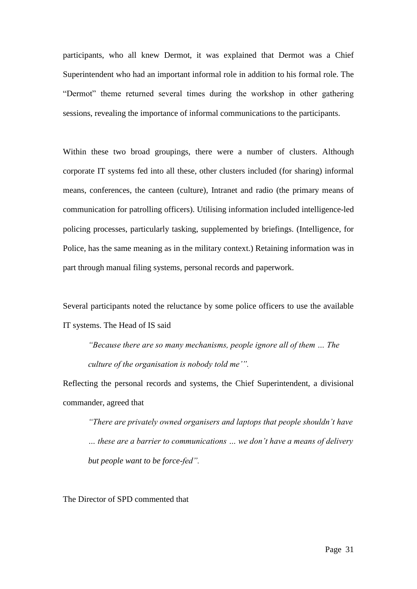participants, who all knew Dermot, it was explained that Dermot was a Chief Superintendent who had an important informal role in addition to his formal role. The "Dermot" theme returned several times during the workshop in other gathering sessions, revealing the importance of informal communications to the participants.

Within these two broad groupings, there were a number of clusters. Although corporate IT systems fed into all these, other clusters included (for sharing) informal means, conferences, the canteen (culture), Intranet and radio (the primary means of communication for patrolling officers). Utilising information included intelligence-led policing processes, particularly tasking, supplemented by briefings. (Intelligence, for Police, has the same meaning as in the military context.) Retaining information was in part through manual filing systems, personal records and paperwork.

Several participants noted the reluctance by some police officers to use the available IT systems. The Head of IS said

*"Because there are so many mechanisms, people ignore all of them … The culture of the organisation is nobody told me'".*

Reflecting the personal records and systems, the Chief Superintendent, a divisional commander, agreed that

*"There are privately owned organisers and laptops that people shouldn't have … these are a barrier to communications … we don't have a means of delivery but people want to be force-fed".*

The Director of SPD commented that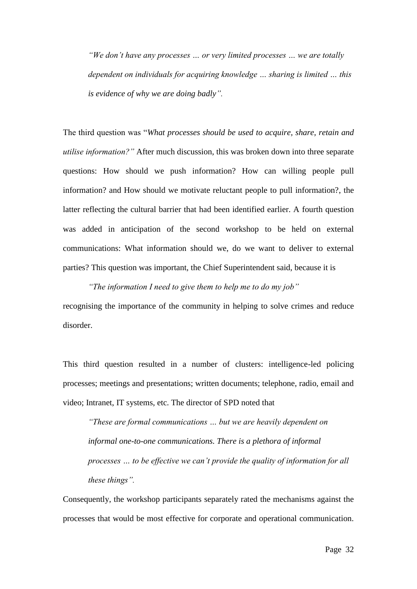*"We don't have any processes … or very limited processes … we are totally dependent on individuals for acquiring knowledge … sharing is limited … this is evidence of why we are doing badly".*

The third question was "*What processes should be used to acquire, share, retain and utilise information?"* After much discussion, this was broken down into three separate questions: How should we push information? How can willing people pull information? and How should we motivate reluctant people to pull information?, the latter reflecting the cultural barrier that had been identified earlier. A fourth question was added in anticipation of the second workshop to be held on external communications: What information should we, do we want to deliver to external parties? This question was important, the Chief Superintendent said, because it is

*"The information I need to give them to help me to do my job"* recognising the importance of the community in helping to solve crimes and reduce disorder.

This third question resulted in a number of clusters: intelligence-led policing processes; meetings and presentations; written documents; telephone, radio, email and video; Intranet, IT systems, etc. The director of SPD noted that

*"These are formal communications … but we are heavily dependent on informal one-to-one communications. There is a plethora of informal processes … to be effective we can't provide the quality of information for all these things".*

Consequently, the workshop participants separately rated the mechanisms against the processes that would be most effective for corporate and operational communication.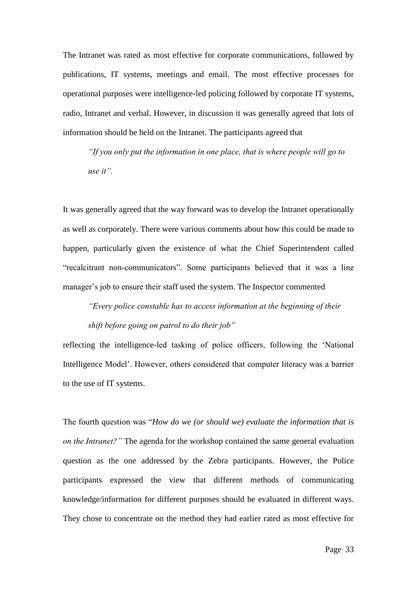The Intranet was rated as most effective for corporate communications, followed by publications, IT systems, meetings and email. The most effective processes for operational purposes were intelligence-led policing followed by corporate IT systems, radio, Intranet and verbal. However, in discussion it was generally agreed that lots of information should be held on the Intranet. The participants agreed that

*"If you only put the information in one place, that is where people will go to use it".*

It was generally agreed that the way forward was to develop the Intranet operationally as well as corporately. There were various comments about how this could be made to happen, particularly given the existence of what the Chief Superintendent called "recalcitrant non-communicators". Some participants believed that it was a line manager's job to ensure their staff used the system. The Inspector commented

*"Every police constable has to access information at the beginning of their shift before going on patrol to do their job"*

reflecting the intelligence-led tasking of police officers, following the "National Intelligence Model". However, others considered that computer literacy was a barrier to the use of IT systems.

The fourth question was "*How do we (or should we) evaluate the information that is on the Intranet?"* The agenda for the workshop contained the same general evaluation question as the one addressed by the Zebra participants. However, the Police participants expressed the view that different methods of communicating knowledge/information for different purposes should be evaluated in different ways. They chose to concentrate on the method they had earlier rated as most effective for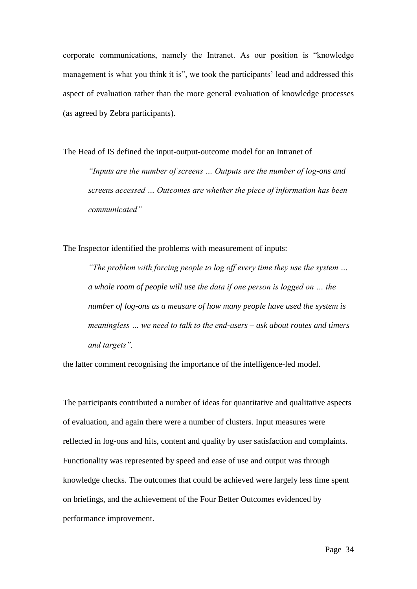corporate communications, namely the Intranet. As our position is "knowledge management is what you think it is", we took the participants' lead and addressed this aspect of evaluation rather than the more general evaluation of knowledge processes (as agreed by Zebra participants).

The Head of IS defined the input-output-outcome model for an Intranet of *"Inputs are the number of screens … Outputs are the number of log-ons and screens accessed … Outcomes are whether the piece of information has been communicated"*

The Inspector identified the problems with measurement of inputs:

*"The problem with forcing people to log off every time they use the system … a whole room of people will use the data if one person is logged on … the number of log-ons as a measure of how many people have used the system is meaningless … we need to talk to the end-users – ask about routes and timers and targets",*

the latter comment recognising the importance of the intelligence-led model.

The participants contributed a number of ideas for quantitative and qualitative aspects of evaluation, and again there were a number of clusters. Input measures were reflected in log-ons and hits, content and quality by user satisfaction and complaints. Functionality was represented by speed and ease of use and output was through knowledge checks. The outcomes that could be achieved were largely less time spent on briefings, and the achievement of the Four Better Outcomes evidenced by performance improvement.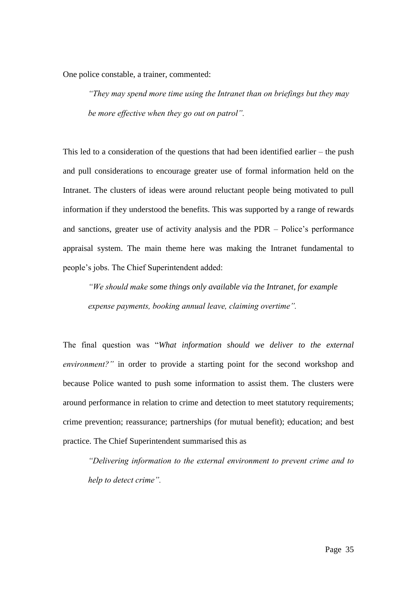One police constable, a trainer, commented:

*"They may spend more time using the Intranet than on briefings but they may be more effective when they go out on patrol".*

This led to a consideration of the questions that had been identified earlier – the push and pull considerations to encourage greater use of formal information held on the Intranet. The clusters of ideas were around reluctant people being motivated to pull information if they understood the benefits. This was supported by a range of rewards and sanctions, greater use of activity analysis and the PDR – Police"s performance appraisal system. The main theme here was making the Intranet fundamental to people"s jobs. The Chief Superintendent added:

*"We should make some things only available via the Intranet, for example expense payments, booking annual leave, claiming overtime".*

The final question was "*What information should we deliver to the external environment?*" in order to provide a starting point for the second workshop and because Police wanted to push some information to assist them. The clusters were around performance in relation to crime and detection to meet statutory requirements; crime prevention; reassurance; partnerships (for mutual benefit); education; and best practice. The Chief Superintendent summarised this as

*"Delivering information to the external environment to prevent crime and to help to detect crime".*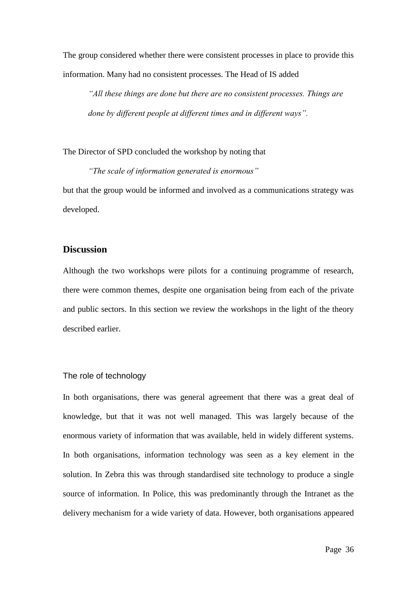The group considered whether there were consistent processes in place to provide this information. Many had no consistent processes. The Head of IS added

*"All these things are done but there are no consistent processes. Things are done by different people at different times and in different ways".*

The Director of SPD concluded the workshop by noting that

*"The scale of information generated is enormous"* but that the group would be informed and involved as a communications strategy was developed.

## **Discussion**

Although the two workshops were pilots for a continuing programme of research, there were common themes, despite one organisation being from each of the private and public sectors. In this section we review the workshops in the light of the theory described earlier.

#### The role of technology

In both organisations, there was general agreement that there was a great deal of knowledge, but that it was not well managed. This was largely because of the enormous variety of information that was available, held in widely different systems. In both organisations, information technology was seen as a key element in the solution. In Zebra this was through standardised site technology to produce a single source of information. In Police, this was predominantly through the Intranet as the delivery mechanism for a wide variety of data. However, both organisations appeared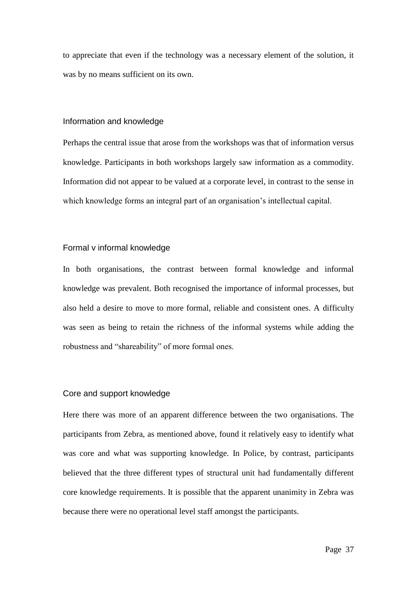to appreciate that even if the technology was a necessary element of the solution, it was by no means sufficient on its own.

#### Information and knowledge

Perhaps the central issue that arose from the workshops was that of information versus knowledge. Participants in both workshops largely saw information as a commodity. Information did not appear to be valued at a corporate level, in contrast to the sense in which knowledge forms an integral part of an organisation's intellectual capital.

### Formal v informal knowledge

In both organisations, the contrast between formal knowledge and informal knowledge was prevalent. Both recognised the importance of informal processes, but also held a desire to move to more formal, reliable and consistent ones. A difficulty was seen as being to retain the richness of the informal systems while adding the robustness and "shareability" of more formal ones.

#### Core and support knowledge

Here there was more of an apparent difference between the two organisations. The participants from Zebra, as mentioned above, found it relatively easy to identify what was core and what was supporting knowledge. In Police, by contrast, participants believed that the three different types of structural unit had fundamentally different core knowledge requirements. It is possible that the apparent unanimity in Zebra was because there were no operational level staff amongst the participants.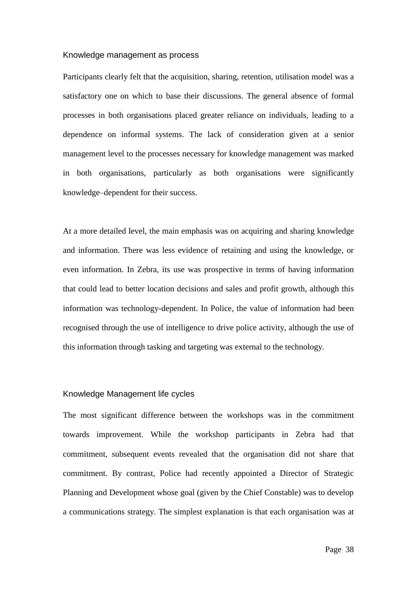#### Knowledge management as process

Participants clearly felt that the acquisition, sharing, retention, utilisation model was a satisfactory one on which to base their discussions. The general absence of formal processes in both organisations placed greater reliance on individuals, leading to a dependence on informal systems. The lack of consideration given at a senior management level to the processes necessary for knowledge management was marked in both organisations, particularly as both organisations were significantly knowledge–dependent for their success.

At a more detailed level, the main emphasis was on acquiring and sharing knowledge and information. There was less evidence of retaining and using the knowledge, or even information. In Zebra, its use was prospective in terms of having information that could lead to better location decisions and sales and profit growth, although this information was technology-dependent. In Police, the value of information had been recognised through the use of intelligence to drive police activity, although the use of this information through tasking and targeting was external to the technology.

#### Knowledge Management life cycles

The most significant difference between the workshops was in the commitment towards improvement. While the workshop participants in Zebra had that commitment, subsequent events revealed that the organisation did not share that commitment. By contrast, Police had recently appointed a Director of Strategic Planning and Development whose goal (given by the Chief Constable) was to develop a communications strategy. The simplest explanation is that each organisation was at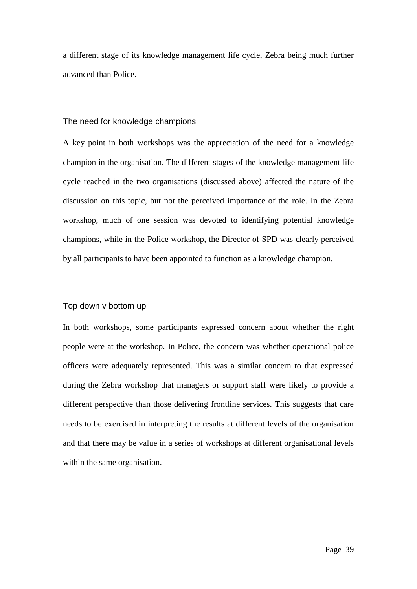a different stage of its knowledge management life cycle, Zebra being much further advanced than Police.

#### The need for knowledge champions

A key point in both workshops was the appreciation of the need for a knowledge champion in the organisation. The different stages of the knowledge management life cycle reached in the two organisations (discussed above) affected the nature of the discussion on this topic, but not the perceived importance of the role. In the Zebra workshop, much of one session was devoted to identifying potential knowledge champions, while in the Police workshop, the Director of SPD was clearly perceived by all participants to have been appointed to function as a knowledge champion.

### Top down v bottom up

In both workshops, some participants expressed concern about whether the right people were at the workshop. In Police, the concern was whether operational police officers were adequately represented. This was a similar concern to that expressed during the Zebra workshop that managers or support staff were likely to provide a different perspective than those delivering frontline services. This suggests that care needs to be exercised in interpreting the results at different levels of the organisation and that there may be value in a series of workshops at different organisational levels within the same organisation.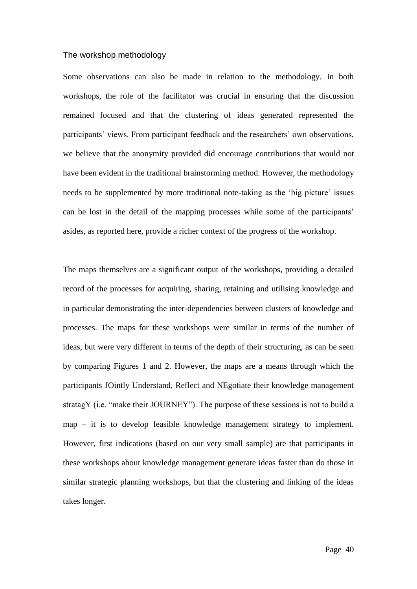#### The workshop methodology

Some observations can also be made in relation to the methodology. In both workshops, the role of the facilitator was crucial in ensuring that the discussion remained focused and that the clustering of ideas generated represented the participants' views. From participant feedback and the researchers' own observations, we believe that the anonymity provided did encourage contributions that would not have been evident in the traditional brainstorming method. However, the methodology needs to be supplemented by more traditional note-taking as the 'big picture' issues can be lost in the detail of the mapping processes while some of the participants' asides, as reported here, provide a richer context of the progress of the workshop.

The maps themselves are a significant output of the workshops, providing a detailed record of the processes for acquiring, sharing, retaining and utilising knowledge and in particular demonstrating the inter-dependencies between clusters of knowledge and processes. The maps for these workshops were similar in terms of the number of ideas, but were very different in terms of the depth of their structuring, as can be seen by comparing Figures 1 and 2. However, the maps are a means through which the participants JOintly Understand, Reflect and NEgotiate their knowledge management stratagY (i.e. "make their JOURNEY"). The purpose of these sessions is not to build a map – it is to develop feasible knowledge management strategy to implement. However, first indications (based on our very small sample) are that participants in these workshops about knowledge management generate ideas faster than do those in similar strategic planning workshops, but that the clustering and linking of the ideas takes longer.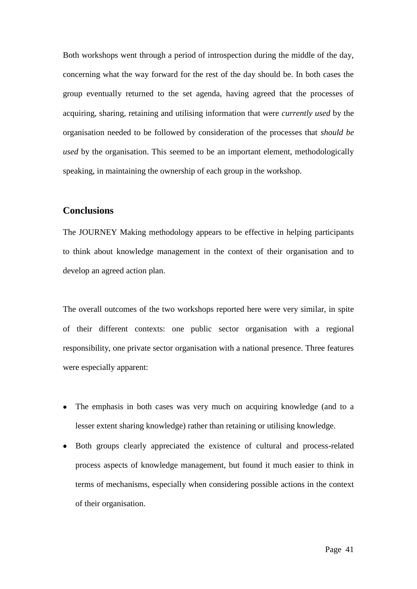Both workshops went through a period of introspection during the middle of the day, concerning what the way forward for the rest of the day should be. In both cases the group eventually returned to the set agenda, having agreed that the processes of acquiring, sharing, retaining and utilising information that were *currently used* by the organisation needed to be followed by consideration of the processes that *should be used* by the organisation. This seemed to be an important element, methodologically speaking, in maintaining the ownership of each group in the workshop.

## **Conclusions**

The JOURNEY Making methodology appears to be effective in helping participants to think about knowledge management in the context of their organisation and to develop an agreed action plan.

The overall outcomes of the two workshops reported here were very similar, in spite of their different contexts: one public sector organisation with a regional responsibility, one private sector organisation with a national presence. Three features were especially apparent:

- The emphasis in both cases was very much on acquiring knowledge (and to a  $\bullet$ lesser extent sharing knowledge) rather than retaining or utilising knowledge.
- Both groups clearly appreciated the existence of cultural and process-related  $\bullet$ process aspects of knowledge management, but found it much easier to think in terms of mechanisms, especially when considering possible actions in the context of their organisation.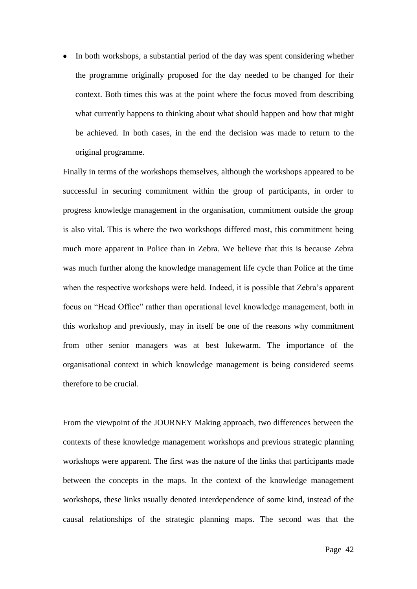In both workshops, a substantial period of the day was spent considering whether  $\bullet$ the programme originally proposed for the day needed to be changed for their context. Both times this was at the point where the focus moved from describing what currently happens to thinking about what should happen and how that might be achieved. In both cases, in the end the decision was made to return to the original programme.

Finally in terms of the workshops themselves, although the workshops appeared to be successful in securing commitment within the group of participants, in order to progress knowledge management in the organisation, commitment outside the group is also vital. This is where the two workshops differed most, this commitment being much more apparent in Police than in Zebra. We believe that this is because Zebra was much further along the knowledge management life cycle than Police at the time when the respective workshops were held. Indeed, it is possible that Zebra's apparent focus on "Head Office" rather than operational level knowledge management, both in this workshop and previously, may in itself be one of the reasons why commitment from other senior managers was at best lukewarm. The importance of the organisational context in which knowledge management is being considered seems therefore to be crucial.

From the viewpoint of the JOURNEY Making approach, two differences between the contexts of these knowledge management workshops and previous strategic planning workshops were apparent. The first was the nature of the links that participants made between the concepts in the maps. In the context of the knowledge management workshops, these links usually denoted interdependence of some kind, instead of the causal relationships of the strategic planning maps. The second was that the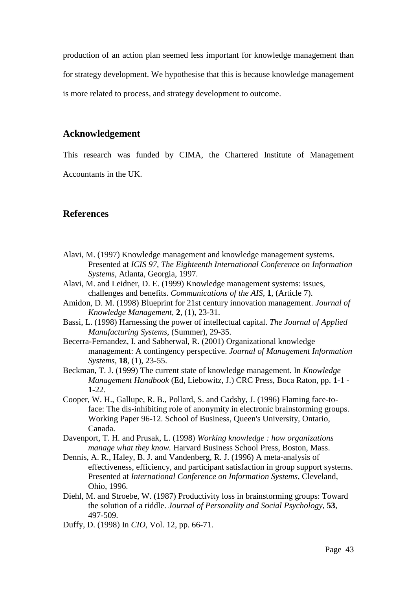production of an action plan seemed less important for knowledge management than for strategy development. We hypothesise that this is because knowledge management is more related to process, and strategy development to outcome.

# **Acknowledgement**

This research was funded by CIMA, the Chartered Institute of Management Accountants in the UK.

# **References**

- Alavi, M. (1997) Knowledge management and knowledge management systems. Presented at *ICIS 97, The Eighteenth International Conference on Information Systems*, Atlanta, Georgia, 1997.
- Alavi, M. and Leidner, D. E. (1999) Knowledge management systems: issues, challenges and benefits. *Communications of the AIS,* **1**, (Article 7).
- Amidon, D. M. (1998) Blueprint for 21st century innovation management. *Journal of Knowledge Management,* **2**, (1), 23-31.
- Bassi, L. (1998) Harnessing the power of intellectual capital. *The Journal of Applied Manufacturing Systems*, (Summer), 29-35.
- Becerra-Fernandez, I. and Sabherwal, R. (2001) Organizational knowledge management: A contingency perspective. *Journal of Management Information Systems,* **18**, (1), 23-55.
- Beckman, T. J. (1999) The current state of knowledge management. In *Knowledge Management Handbook* (Ed, Liebowitz, J.) CRC Press, Boca Raton, pp. **1**-1 - **1**-22.
- Cooper, W. H., Gallupe, R. B., Pollard, S. and Cadsby, J. (1996) Flaming face-toface: The dis-inhibiting role of anonymity in electronic brainstorming groups. Working Paper 96-12. School of Business, Queen's University, Ontario, Canada.
- Davenport, T. H. and Prusak, L. (1998) *Working knowledge : how organizations manage what they know.* Harvard Business School Press, Boston, Mass.
- Dennis, A. R., Haley, B. J. and Vandenberg, R. J. (1996) A meta-analysis of effectiveness, efficiency, and participant satisfaction in group support systems. Presented at *International Conference on Information Systems*, Cleveland, Ohio, 1996.
- Diehl, M. and Stroebe, W. (1987) Productivity loss in brainstorming groups: Toward the solution of a riddle. *Journal of Personality and Social Psychology,* **53**, 497-509.
- Duffy, D. (1998) In *CIO*, Vol. 12, pp. 66-71.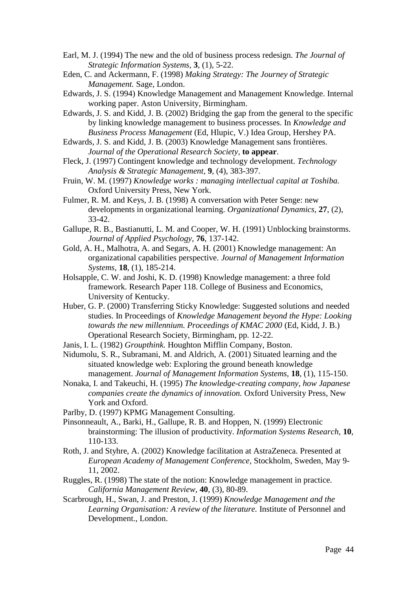- Earl, M. J. (1994) The new and the old of business process redesign. *The Journal of Strategic Information Systems,* **3**, (1), 5-22.
- Eden, C. and Ackermann, F. (1998) *Making Strategy: The Journey of Strategic Management.* Sage, London.
- Edwards, J. S. (1994) Knowledge Management and Management Knowledge. Internal working paper. Aston University, Birmingham.
- Edwards, J. S. and Kidd, J. B. (2002) Bridging the gap from the general to the specific by linking knowledge management to business processes. In *Knowledge and Business Process Management* (Ed, Hlupic, V.) Idea Group, Hershey PA.
- Edwards, J. S. and Kidd, J. B. (2003) Knowledge Management sans frontières. *Journal of the Operational Research Society,* **to appear**.
- Fleck, J. (1997) Contingent knowledge and technology development. *Technology Analysis & Strategic Management,* **9**, (4), 383-397.
- Fruin, W. M. (1997) *Knowledge works : managing intellectual capital at Toshiba.*  Oxford University Press, New York.
- Fulmer, R. M. and Keys, J. B. (1998) A conversation with Peter Senge: new developments in organizational learning. *Organizational Dynamics,* **27**, (2), 33-42.
- Gallupe, R. B., Bastianutti, L. M. and Cooper, W. H. (1991) Unblocking brainstorms. *Journal of Applied Psychology,* **76**, 137-142.
- Gold, A. H., Malhotra, A. and Segars, A. H. (2001) Knowledge management: An organizational capabilities perspective. *Journal of Management Information Systems,* **18**, (1), 185-214.
- Holsapple, C. W. and Joshi, K. D. (1998) Knowledge management: a three fold framework. Research Paper 118. College of Business and Economics, University of Kentucky.
- Huber, G. P. (2000) Transferring Sticky Knowledge: Suggested solutions and needed studies. In Proceedings of *Knowledge Management beyond the Hype: Looking towards the new millennium. Proceedings of KMAC 2000* (Ed, Kidd, J. B.) Operational Research Society, Birmingham, pp. 12-22.
- Janis, I. L. (1982) *Groupthink.* Houghton Mifflin Company, Boston.
- Nidumolu, S. R., Subramani, M. and Aldrich, A. (2001) Situated learning and the situated knowledge web: Exploring the ground beneath knowledge management. *Journal of Management Information Systems,* **18**, (1), 115-150.
- Nonaka, I. and Takeuchi, H. (1995) *The knowledge-creating company, how Japanese companies create the dynamics of innovation.* Oxford University Press, New York and Oxford.
- Parlby, D. (1997) KPMG Management Consulting.
- Pinsonneault, A., Barki, H., Gallupe, R. B. and Hoppen, N. (1999) Electronic brainstorming: The illusion of productivity. *Information Systems Research,* **10**, 110-133.
- Roth, J. and Styhre, A. (2002) Knowledge facilitation at AstraZeneca. Presented at *European Academy of Management Conference*, Stockholm, Sweden, May 9- 11, 2002.
- Ruggles, R. (1998) The state of the notion: Knowledge management in practice. *California Management Review,* **40**, (3), 80-89.
- Scarbrough, H., Swan, J. and Preston, J. (1999) *Knowledge Management and the Learning Organisation: A review of the literature.* Institute of Personnel and Development., London.